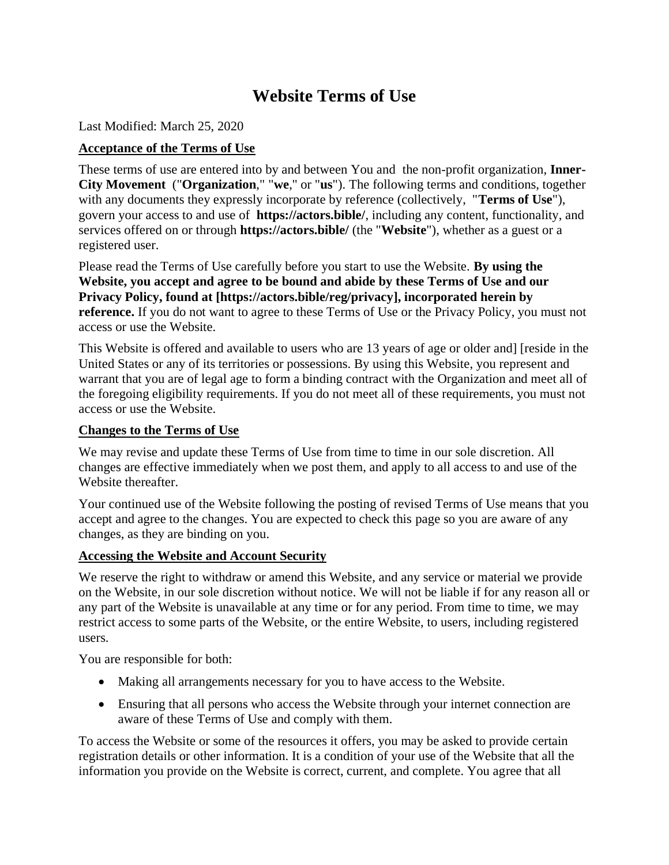# **Website Terms of Use**

Last Modified: March 25, 2020

# **Acceptance of the Terms of Use**

These terms of use are entered into by and between You and the non-profit organization, **Inner-City Movement** ("**Organization**," "**we**," or "**us**"). The following terms and conditions, together with any documents they expressly incorporate by reference (collectively, "**Terms of Use**"), govern your access to and use of **https://actors.bible/**, including any content, functionality, and services offered on or through **https://actors.bible/** (the "**Website**"), whether as a guest or a registered user.

Please read the Terms of Use carefully before you start to use the Website. **By using the Website, you accept and agree to be bound and abide by these Terms of Use and our Privacy Policy, found at [https://actors.bible/reg/privacy], incorporated herein by reference.** If you do not want to agree to these Terms of Use or the Privacy Policy, you must not access or use the Website.

This Website is offered and available to users who are 13 years of age or older and] [reside in the United States or any of its territories or possessions. By using this Website, you represent and warrant that you are of legal age to form a binding contract with the Organization and meet all of the foregoing eligibility requirements. If you do not meet all of these requirements, you must not access or use the Website.

### **Changes to the Terms of Use**

We may revise and update these Terms of Use from time to time in our sole discretion. All changes are effective immediately when we post them, and apply to all access to and use of the Website thereafter.

Your continued use of the Website following the posting of revised Terms of Use means that you accept and agree to the changes. You are expected to check this page so you are aware of any changes, as they are binding on you.

### **Accessing the Website and Account Security**

We reserve the right to withdraw or amend this Website, and any service or material we provide on the Website, in our sole discretion without notice. We will not be liable if for any reason all or any part of the Website is unavailable at any time or for any period. From time to time, we may restrict access to some parts of the Website, or the entire Website, to users, including registered users.

You are responsible for both:

- Making all arrangements necessary for you to have access to the Website.
- Ensuring that all persons who access the Website through your internet connection are aware of these Terms of Use and comply with them.

To access the Website or some of the resources it offers, you may be asked to provide certain registration details or other information. It is a condition of your use of the Website that all the information you provide on the Website is correct, current, and complete. You agree that all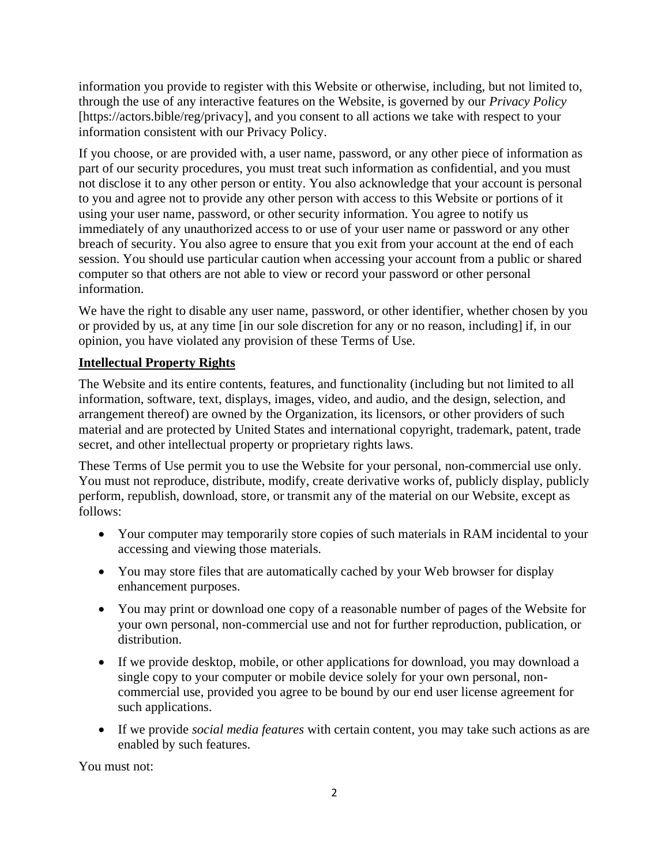information you provide to register with this Website or otherwise, including, but not limited to, through the use of any interactive features on the Website, is governed by our *Privacy Policy* [https://actors.bible/reg/privacy], and you consent to all actions we take with respect to your information consistent with our Privacy Policy.

If you choose, or are provided with, a user name, password, or any other piece of information as part of our security procedures, you must treat such information as confidential, and you must not disclose it to any other person or entity. You also acknowledge that your account is personal to you and agree not to provide any other person with access to this Website or portions of it using your user name, password, or other security information. You agree to notify us immediately of any unauthorized access to or use of your user name or password or any other breach of security. You also agree to ensure that you exit from your account at the end of each session. You should use particular caution when accessing your account from a public or shared computer so that others are not able to view or record your password or other personal information.

We have the right to disable any user name, password, or other identifier, whether chosen by you or provided by us, at any time [in our sole discretion for any or no reason, including] if, in our opinion, you have violated any provision of these Terms of Use.

# **Intellectual Property Rights**

The Website and its entire contents, features, and functionality (including but not limited to all information, software, text, displays, images, video, and audio, and the design, selection, and arrangement thereof) are owned by the Organization, its licensors, or other providers of such material and are protected by United States and international copyright, trademark, patent, trade secret, and other intellectual property or proprietary rights laws.

These Terms of Use permit you to use the Website for your personal, non-commercial use only. You must not reproduce, distribute, modify, create derivative works of, publicly display, publicly perform, republish, download, store, or transmit any of the material on our Website, except as follows:

- Your computer may temporarily store copies of such materials in RAM incidental to your accessing and viewing those materials.
- You may store files that are automatically cached by your Web browser for display enhancement purposes.
- You may print or download one copy of a reasonable number of pages of the Website for your own personal, non-commercial use and not for further reproduction, publication, or distribution.
- If we provide desktop, mobile, or other applications for download, you may download a single copy to your computer or mobile device solely for your own personal, noncommercial use, provided you agree to be bound by our end user license agreement for such applications.
- If we provide *social media features* with certain content, you may take such actions as are enabled by such features.

You must not: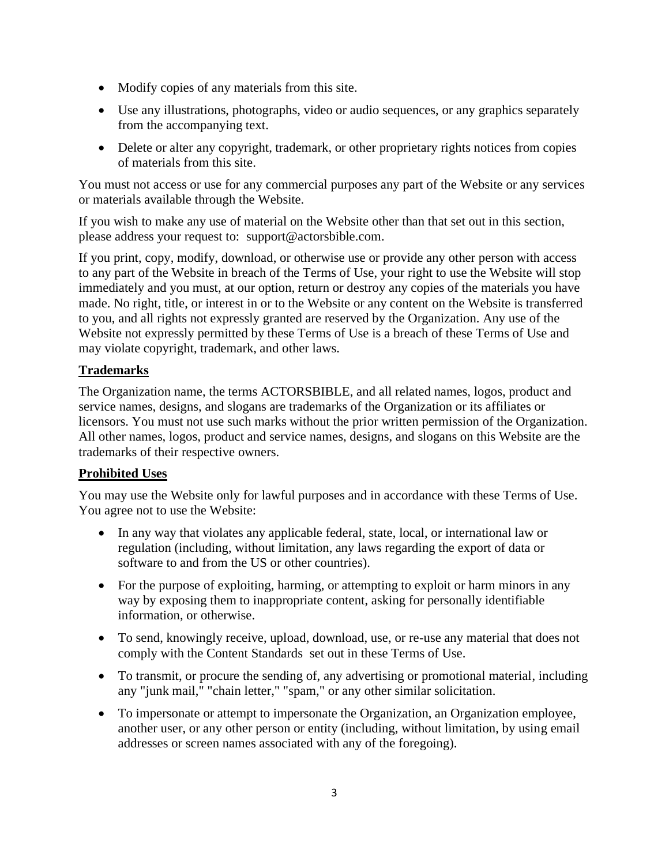- Modify copies of any materials from this site.
- Use any illustrations, photographs, video or audio sequences, or any graphics separately from the accompanying text.
- Delete or alter any copyright, trademark, or other proprietary rights notices from copies of materials from this site.

You must not access or use for any commercial purposes any part of the Website or any services or materials available through the Website.

If you wish to make any use of material on the Website other than that set out in this section, please address your request to: support@actorsbible.com.

If you print, copy, modify, download, or otherwise use or provide any other person with access to any part of the Website in breach of the Terms of Use, your right to use the Website will stop immediately and you must, at our option, return or destroy any copies of the materials you have made. No right, title, or interest in or to the Website or any content on the Website is transferred to you, and all rights not expressly granted are reserved by the Organization. Any use of the Website not expressly permitted by these Terms of Use is a breach of these Terms of Use and may violate copyright, trademark, and other laws.

# **Trademarks**

The Organization name, the terms ACTORSBIBLE, and all related names, logos, product and service names, designs, and slogans are trademarks of the Organization or its affiliates or licensors. You must not use such marks without the prior written permission of the Organization. All other names, logos, product and service names, designs, and slogans on this Website are the trademarks of their respective owners.

# **Prohibited Uses**

You may use the Website only for lawful purposes and in accordance with these Terms of Use. You agree not to use the Website:

- In any way that violates any applicable federal, state, local, or international law or regulation (including, without limitation, any laws regarding the export of data or software to and from the US or other countries).
- For the purpose of exploiting, harming, or attempting to exploit or harm minors in any way by exposing them to inappropriate content, asking for personally identifiable information, or otherwise.
- To send, knowingly receive, upload, download, use, or re-use any material that does not comply with the Content Standards set out in these Terms of Use.
- To transmit, or procure the sending of, any advertising or promotional material, including any "junk mail," "chain letter," "spam," or any other similar solicitation.
- To impersonate or attempt to impersonate the Organization, an Organization employee, another user, or any other person or entity (including, without limitation, by using email addresses or screen names associated with any of the foregoing).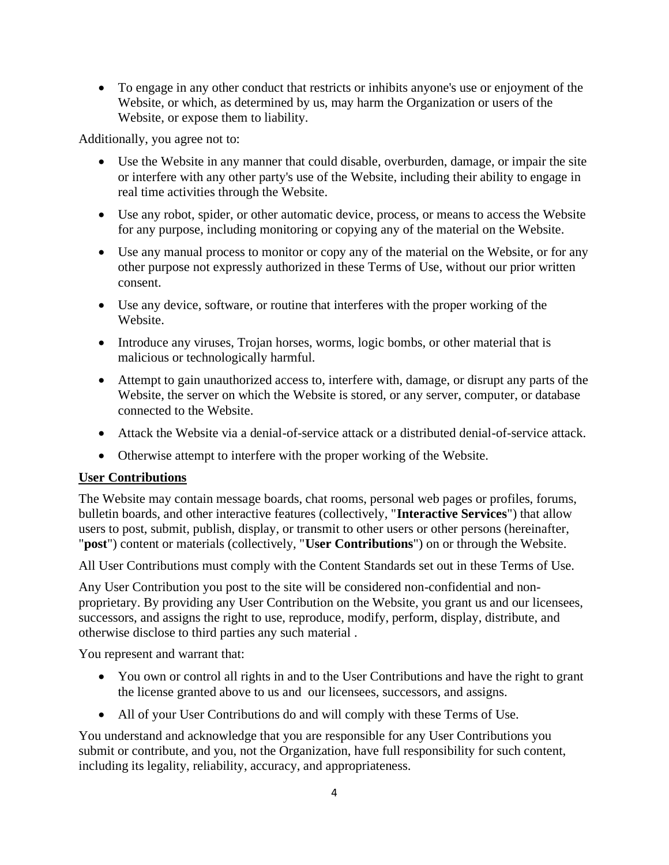• To engage in any other conduct that restricts or inhibits anyone's use or enjoyment of the Website, or which, as determined by us, may harm the Organization or users of the Website, or expose them to liability.

Additionally, you agree not to:

- Use the Website in any manner that could disable, overburden, damage, or impair the site or interfere with any other party's use of the Website, including their ability to engage in real time activities through the Website.
- Use any robot, spider, or other automatic device, process, or means to access the Website for any purpose, including monitoring or copying any of the material on the Website.
- Use any manual process to monitor or copy any of the material on the Website, or for any other purpose not expressly authorized in these Terms of Use, without our prior written consent.
- Use any device, software, or routine that interferes with the proper working of the Website.
- Introduce any viruses, Trojan horses, worms, logic bombs, or other material that is malicious or technologically harmful.
- Attempt to gain unauthorized access to, interfere with, damage, or disrupt any parts of the Website, the server on which the Website is stored, or any server, computer, or database connected to the Website.
- Attack the Website via a denial-of-service attack or a distributed denial-of-service attack.
- Otherwise attempt to interfere with the proper working of the Website.

### **User Contributions**

The Website may contain message boards, chat rooms, personal web pages or profiles, forums, bulletin boards, and other interactive features (collectively, "**Interactive Services**") that allow users to post, submit, publish, display, or transmit to other users or other persons (hereinafter, "**post**") content or materials (collectively, "**User Contributions**") on or through the Website.

All User Contributions must comply with the Content Standards set out in these Terms of Use.

Any User Contribution you post to the site will be considered non-confidential and nonproprietary. By providing any User Contribution on the Website, you grant us and our licensees, successors, and assigns the right to use, reproduce, modify, perform, display, distribute, and otherwise disclose to third parties any such material .

You represent and warrant that:

- You own or control all rights in and to the User Contributions and have the right to grant the license granted above to us and our licensees, successors, and assigns.
- All of your User Contributions do and will comply with these Terms of Use.

You understand and acknowledge that you are responsible for any User Contributions you submit or contribute, and you, not the Organization, have full responsibility for such content, including its legality, reliability, accuracy, and appropriateness.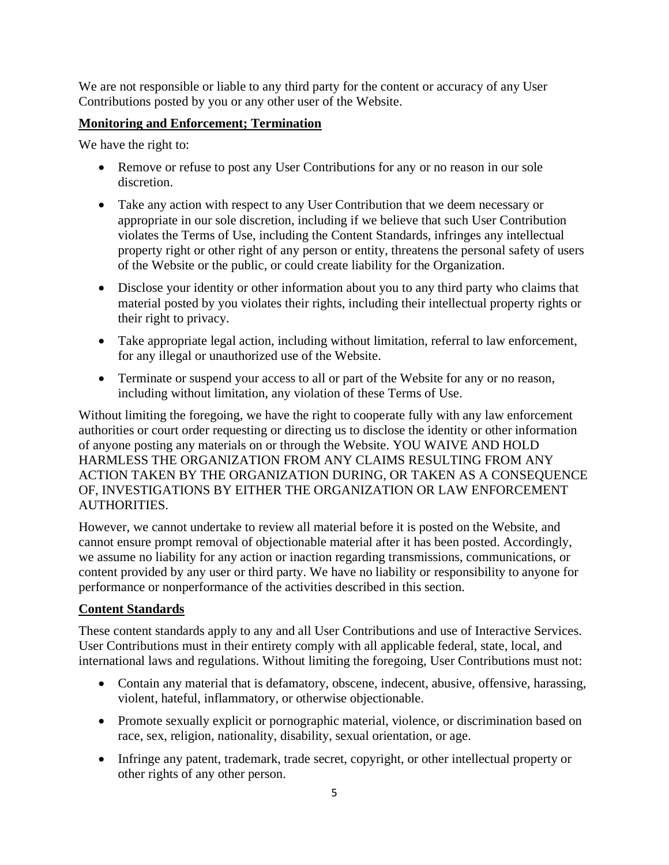We are not responsible or liable to any third party for the content or accuracy of any User Contributions posted by you or any other user of the Website.

### **Monitoring and Enforcement; Termination**

We have the right to:

- Remove or refuse to post any User Contributions for any or no reason in our sole discretion.
- Take any action with respect to any User Contribution that we deem necessary or appropriate in our sole discretion, including if we believe that such User Contribution violates the Terms of Use, including the Content Standards, infringes any intellectual property right or other right of any person or entity, threatens the personal safety of users of the Website or the public, or could create liability for the Organization.
- Disclose your identity or other information about you to any third party who claims that material posted by you violates their rights, including their intellectual property rights or their right to privacy.
- Take appropriate legal action, including without limitation, referral to law enforcement, for any illegal or unauthorized use of the Website.
- Terminate or suspend your access to all or part of the Website for any or no reason, including without limitation, any violation of these Terms of Use.

Without limiting the foregoing, we have the right to cooperate fully with any law enforcement authorities or court order requesting or directing us to disclose the identity or other information of anyone posting any materials on or through the Website. YOU WAIVE AND HOLD HARMLESS THE ORGANIZATION FROM ANY CLAIMS RESULTING FROM ANY ACTION TAKEN BY THE ORGANIZATION DURING, OR TAKEN AS A CONSEQUENCE OF, INVESTIGATIONS BY EITHER THE ORGANIZATION OR LAW ENFORCEMENT AUTHORITIES.

However, we cannot undertake to review all material before it is posted on the Website, and cannot ensure prompt removal of objectionable material after it has been posted. Accordingly, we assume no liability for any action or inaction regarding transmissions, communications, or content provided by any user or third party. We have no liability or responsibility to anyone for performance or nonperformance of the activities described in this section.

# **Content Standards**

These content standards apply to any and all User Contributions and use of Interactive Services. User Contributions must in their entirety comply with all applicable federal, state, local, and international laws and regulations. Without limiting the foregoing, User Contributions must not:

- Contain any material that is defamatory, obscene, indecent, abusive, offensive, harassing, violent, hateful, inflammatory, or otherwise objectionable.
- Promote sexually explicit or pornographic material, violence, or discrimination based on race, sex, religion, nationality, disability, sexual orientation, or age.
- Infringe any patent, trademark, trade secret, copyright, or other intellectual property or other rights of any other person.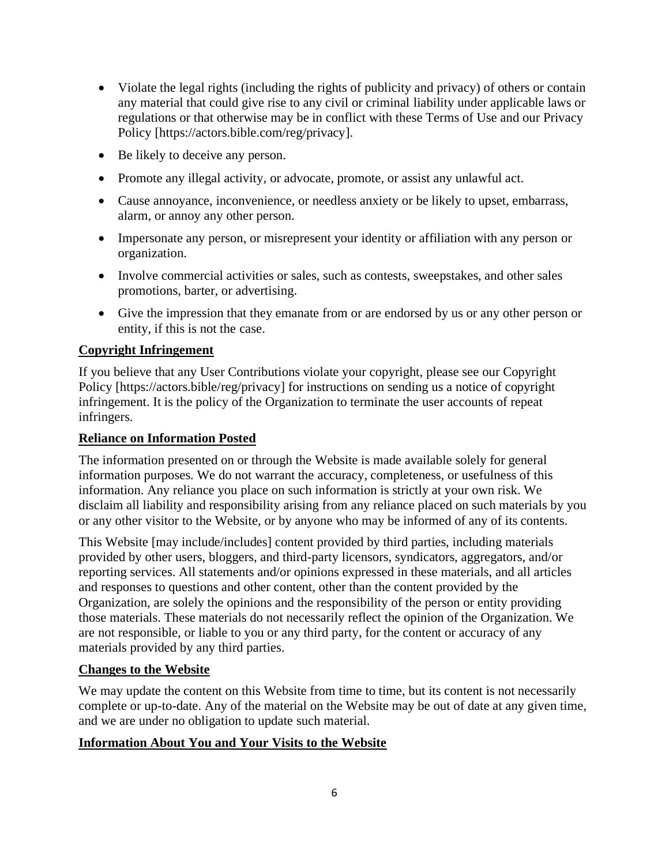- Violate the legal rights (including the rights of publicity and privacy) of others or contain any material that could give rise to any civil or criminal liability under applicable laws or regulations or that otherwise may be in conflict with these Terms of Use and our Privacy Policy [https://actors.bible.com/reg/privacy].
- Be likely to deceive any person.
- Promote any illegal activity, or advocate, promote, or assist any unlawful act.
- Cause annoyance, inconvenience, or needless anxiety or be likely to upset, embarrass, alarm, or annoy any other person.
- Impersonate any person, or misrepresent your identity or affiliation with any person or organization.
- Involve commercial activities or sales, such as contests, sweepstakes, and other sales promotions, barter, or advertising.
- Give the impression that they emanate from or are endorsed by us or any other person or entity, if this is not the case.

### **Copyright Infringement**

If you believe that any User Contributions violate your copyright, please see our Copyright Policy [https://actors.bible/reg/privacy] for instructions on sending us a notice of copyright infringement. It is the policy of the Organization to terminate the user accounts of repeat infringers.

### **Reliance on Information Posted**

The information presented on or through the Website is made available solely for general information purposes. We do not warrant the accuracy, completeness, or usefulness of this information. Any reliance you place on such information is strictly at your own risk. We disclaim all liability and responsibility arising from any reliance placed on such materials by you or any other visitor to the Website, or by anyone who may be informed of any of its contents.

This Website [may include/includes] content provided by third parties, including materials provided by other users, bloggers, and third-party licensors, syndicators, aggregators, and/or reporting services. All statements and/or opinions expressed in these materials, and all articles and responses to questions and other content, other than the content provided by the Organization, are solely the opinions and the responsibility of the person or entity providing those materials. These materials do not necessarily reflect the opinion of the Organization. We are not responsible, or liable to you or any third party, for the content or accuracy of any materials provided by any third parties.

### **Changes to the Website**

We may update the content on this Website from time to time, but its content is not necessarily complete or up-to-date. Any of the material on the Website may be out of date at any given time, and we are under no obligation to update such material.

### **Information About You and Your Visits to the Website**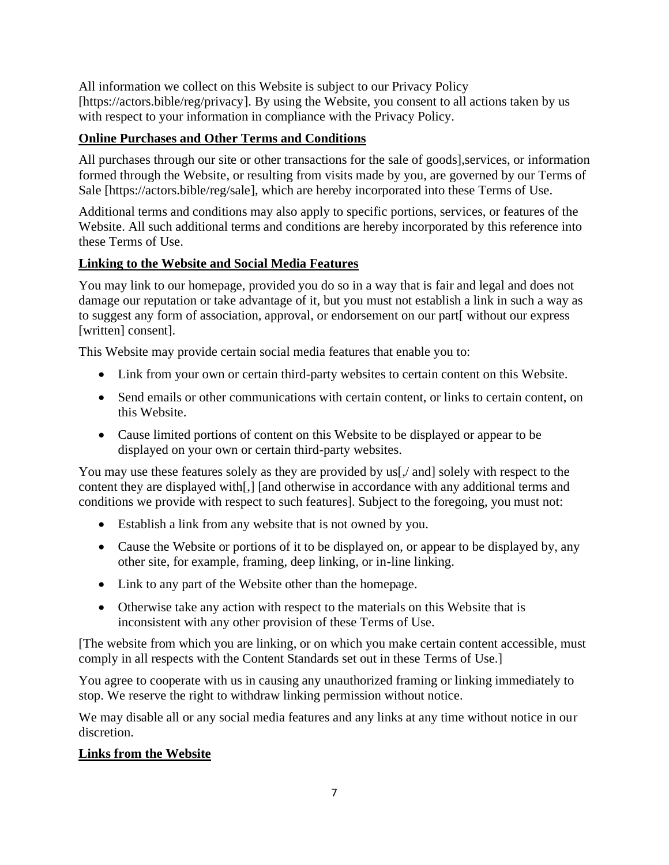All information we collect on this Website is subject to our Privacy Policy [https://actors.bible/reg/privacy]. By using the Website, you consent to all actions taken by us with respect to your information in compliance with the Privacy Policy.

# **Online Purchases and Other Terms and Conditions**

All purchases through our site or other transactions for the sale of goods], services, or information formed through the Website, or resulting from visits made by you, are governed by our Terms of Sale [https://actors.bible/reg/sale], which are hereby incorporated into these Terms of Use.

Additional terms and conditions may also apply to specific portions, services, or features of the Website. All such additional terms and conditions are hereby incorporated by this reference into these Terms of Use.

# **Linking to the Website and Social Media Features**

You may link to our homepage, provided you do so in a way that is fair and legal and does not damage our reputation or take advantage of it, but you must not establish a link in such a way as to suggest any form of association, approval, or endorsement on our part[ without our express [written] consent].

This Website may provide certain social media features that enable you to:

- Link from your own or certain third-party websites to certain content on this Website.
- Send emails or other communications with certain content, or links to certain content, on this Website.
- Cause limited portions of content on this Website to be displayed or appear to be displayed on your own or certain third-party websites.

You may use these features solely as they are provided by us[, and] solely with respect to the content they are displayed with[,] [and otherwise in accordance with any additional terms and conditions we provide with respect to such features]. Subject to the foregoing, you must not:

- Establish a link from any website that is not owned by you.
- Cause the Website or portions of it to be displayed on, or appear to be displayed by, any other site, for example, framing, deep linking, or in-line linking.
- Link to any part of the Website other than the homepage.
- Otherwise take any action with respect to the materials on this Website that is inconsistent with any other provision of these Terms of Use.

[The website from which you are linking, or on which you make certain content accessible, must comply in all respects with the Content Standards set out in these Terms of Use.]

You agree to cooperate with us in causing any unauthorized framing or linking immediately to stop. We reserve the right to withdraw linking permission without notice.

We may disable all or any social media features and any links at any time without notice in our discretion.

# **Links from the Website**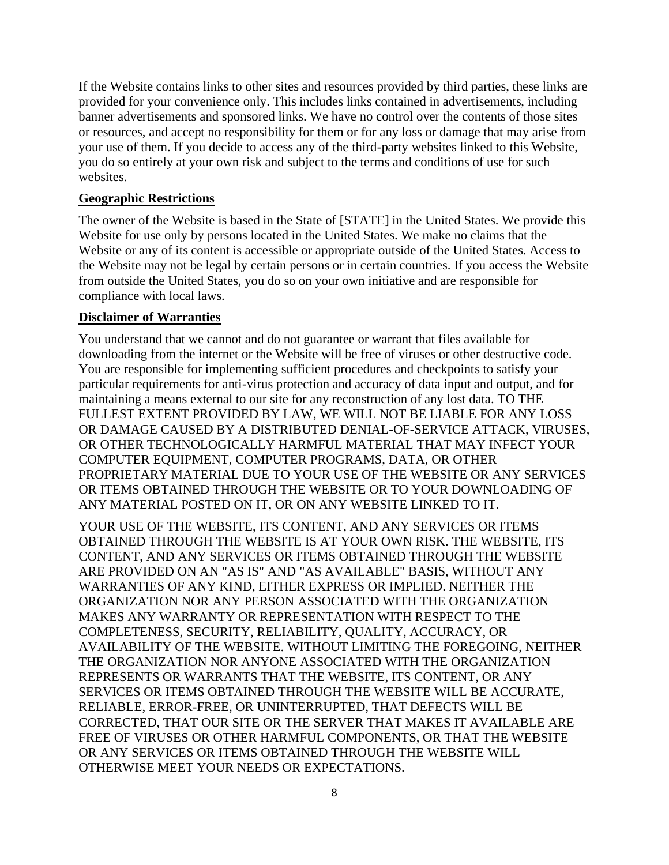If the Website contains links to other sites and resources provided by third parties, these links are provided for your convenience only. This includes links contained in advertisements, including banner advertisements and sponsored links. We have no control over the contents of those sites or resources, and accept no responsibility for them or for any loss or damage that may arise from your use of them. If you decide to access any of the third-party websites linked to this Website, you do so entirely at your own risk and subject to the terms and conditions of use for such websites.

#### **Geographic Restrictions**

The owner of the Website is based in the State of [STATE] in the United States. We provide this Website for use only by persons located in the United States. We make no claims that the Website or any of its content is accessible or appropriate outside of the United States. Access to the Website may not be legal by certain persons or in certain countries. If you access the Website from outside the United States, you do so on your own initiative and are responsible for compliance with local laws.

#### **Disclaimer of Warranties**

You understand that we cannot and do not guarantee or warrant that files available for downloading from the internet or the Website will be free of viruses or other destructive code. You are responsible for implementing sufficient procedures and checkpoints to satisfy your particular requirements for anti-virus protection and accuracy of data input and output, and for maintaining a means external to our site for any reconstruction of any lost data. TO THE FULLEST EXTENT PROVIDED BY LAW, WE WILL NOT BE LIABLE FOR ANY LOSS OR DAMAGE CAUSED BY A DISTRIBUTED DENIAL-OF-SERVICE ATTACK, VIRUSES, OR OTHER TECHNOLOGICALLY HARMFUL MATERIAL THAT MAY INFECT YOUR COMPUTER EQUIPMENT, COMPUTER PROGRAMS, DATA, OR OTHER PROPRIETARY MATERIAL DUE TO YOUR USE OF THE WEBSITE OR ANY SERVICES OR ITEMS OBTAINED THROUGH THE WEBSITE OR TO YOUR DOWNLOADING OF ANY MATERIAL POSTED ON IT, OR ON ANY WEBSITE LINKED TO IT.

YOUR USE OF THE WEBSITE, ITS CONTENT, AND ANY SERVICES OR ITEMS OBTAINED THROUGH THE WEBSITE IS AT YOUR OWN RISK. THE WEBSITE, ITS CONTENT, AND ANY SERVICES OR ITEMS OBTAINED THROUGH THE WEBSITE ARE PROVIDED ON AN "AS IS" AND "AS AVAILABLE" BASIS, WITHOUT ANY WARRANTIES OF ANY KIND, EITHER EXPRESS OR IMPLIED. NEITHER THE ORGANIZATION NOR ANY PERSON ASSOCIATED WITH THE ORGANIZATION MAKES ANY WARRANTY OR REPRESENTATION WITH RESPECT TO THE COMPLETENESS, SECURITY, RELIABILITY, QUALITY, ACCURACY, OR AVAILABILITY OF THE WEBSITE. WITHOUT LIMITING THE FOREGOING, NEITHER THE ORGANIZATION NOR ANYONE ASSOCIATED WITH THE ORGANIZATION REPRESENTS OR WARRANTS THAT THE WEBSITE, ITS CONTENT, OR ANY SERVICES OR ITEMS OBTAINED THROUGH THE WEBSITE WILL BE ACCURATE, RELIABLE, ERROR-FREE, OR UNINTERRUPTED, THAT DEFECTS WILL BE CORRECTED, THAT OUR SITE OR THE SERVER THAT MAKES IT AVAILABLE ARE FREE OF VIRUSES OR OTHER HARMFUL COMPONENTS, OR THAT THE WEBSITE OR ANY SERVICES OR ITEMS OBTAINED THROUGH THE WEBSITE WILL OTHERWISE MEET YOUR NEEDS OR EXPECTATIONS.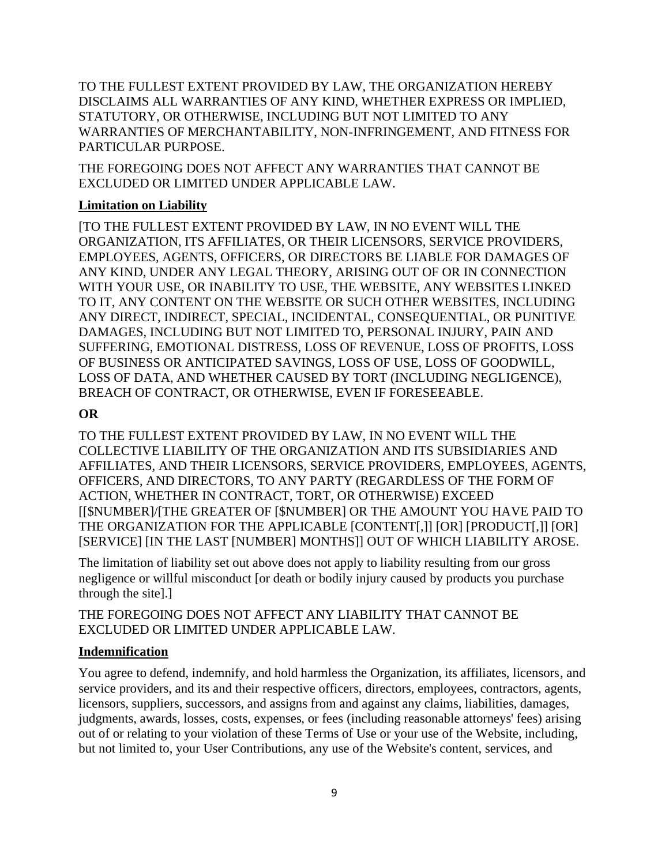TO THE FULLEST EXTENT PROVIDED BY LAW, THE ORGANIZATION HEREBY DISCLAIMS ALL WARRANTIES OF ANY KIND, WHETHER EXPRESS OR IMPLIED, STATUTORY, OR OTHERWISE, INCLUDING BUT NOT LIMITED TO ANY WARRANTIES OF MERCHANTABILITY, NON-INFRINGEMENT, AND FITNESS FOR PARTICULAR PURPOSE.

THE FOREGOING DOES NOT AFFECT ANY WARRANTIES THAT CANNOT BE EXCLUDED OR LIMITED UNDER APPLICABLE LAW.

### **Limitation on Liability**

[TO THE FULLEST EXTENT PROVIDED BY LAW, IN NO EVENT WILL THE ORGANIZATION, ITS AFFILIATES, OR THEIR LICENSORS, SERVICE PROVIDERS, EMPLOYEES, AGENTS, OFFICERS, OR DIRECTORS BE LIABLE FOR DAMAGES OF ANY KIND, UNDER ANY LEGAL THEORY, ARISING OUT OF OR IN CONNECTION WITH YOUR USE, OR INABILITY TO USE, THE WEBSITE, ANY WEBSITES LINKED TO IT, ANY CONTENT ON THE WEBSITE OR SUCH OTHER WEBSITES, INCLUDING ANY DIRECT, INDIRECT, SPECIAL, INCIDENTAL, CONSEQUENTIAL, OR PUNITIVE DAMAGES, INCLUDING BUT NOT LIMITED TO, PERSONAL INJURY, PAIN AND SUFFERING, EMOTIONAL DISTRESS, LOSS OF REVENUE, LOSS OF PROFITS, LOSS OF BUSINESS OR ANTICIPATED SAVINGS, LOSS OF USE, LOSS OF GOODWILL, LOSS OF DATA, AND WHETHER CAUSED BY TORT (INCLUDING NEGLIGENCE), BREACH OF CONTRACT, OR OTHERWISE, EVEN IF FORESEEABLE.

# **OR**

TO THE FULLEST EXTENT PROVIDED BY LAW, IN NO EVENT WILL THE COLLECTIVE LIABILITY OF THE ORGANIZATION AND ITS SUBSIDIARIES AND AFFILIATES, AND THEIR LICENSORS, SERVICE PROVIDERS, EMPLOYEES, AGENTS, OFFICERS, AND DIRECTORS, TO ANY PARTY (REGARDLESS OF THE FORM OF ACTION, WHETHER IN CONTRACT, TORT, OR OTHERWISE) EXCEED [[\$NUMBER]/[THE GREATER OF [\$NUMBER] OR THE AMOUNT YOU HAVE PAID TO THE ORGANIZATION FOR THE APPLICABLE [CONTENT[,]] [OR] [PRODUCT[,]] [OR] [SERVICE] [IN THE LAST [NUMBER] MONTHS]] OUT OF WHICH LIABILITY AROSE.

The limitation of liability set out above does not apply to liability resulting from our gross negligence or willful misconduct [or death or bodily injury caused by products you purchase through the site].]

THE FOREGOING DOES NOT AFFECT ANY LIABILITY THAT CANNOT BE EXCLUDED OR LIMITED UNDER APPLICABLE LAW.

# **Indemnification**

You agree to defend, indemnify, and hold harmless the Organization, its affiliates, licensors, and service providers, and its and their respective officers, directors, employees, contractors, agents, licensors, suppliers, successors, and assigns from and against any claims, liabilities, damages, judgments, awards, losses, costs, expenses, or fees (including reasonable attorneys' fees) arising out of or relating to your violation of these Terms of Use or your use of the Website, including, but not limited to, your User Contributions, any use of the Website's content, services, and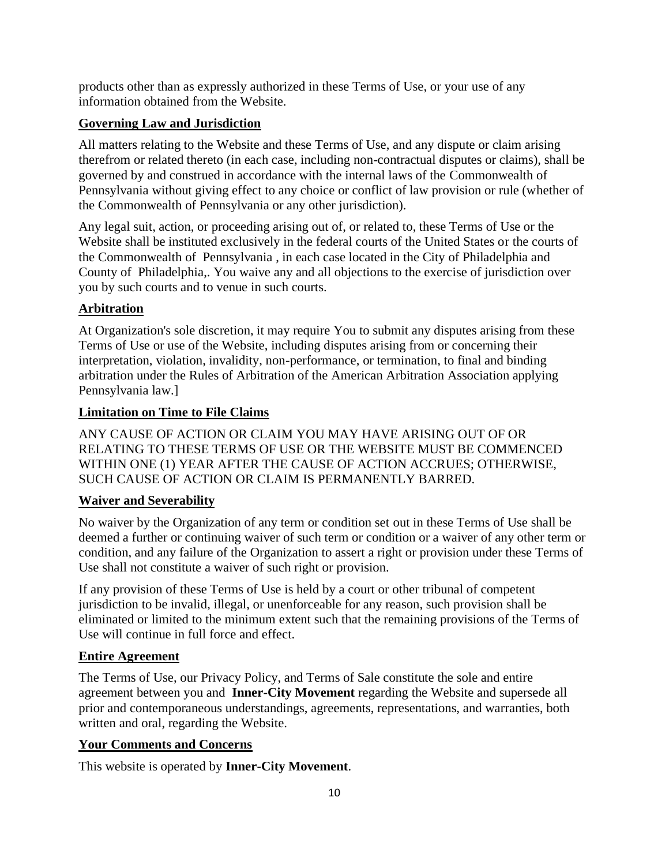products other than as expressly authorized in these Terms of Use, or your use of any information obtained from the Website.

# **Governing Law and Jurisdiction**

All matters relating to the Website and these Terms of Use, and any dispute or claim arising therefrom or related thereto (in each case, including non-contractual disputes or claims), shall be governed by and construed in accordance with the internal laws of the Commonwealth of Pennsylvania without giving effect to any choice or conflict of law provision or rule (whether of the Commonwealth of Pennsylvania or any other jurisdiction).

Any legal suit, action, or proceeding arising out of, or related to, these Terms of Use or the Website shall be instituted exclusively in the federal courts of the United States or the courts of the Commonwealth of Pennsylvania , in each case located in the City of Philadelphia and County of Philadelphia,. You waive any and all objections to the exercise of jurisdiction over you by such courts and to venue in such courts.

# **Arbitration**

At Organization's sole discretion, it may require You to submit any disputes arising from these Terms of Use or use of the Website, including disputes arising from or concerning their interpretation, violation, invalidity, non-performance, or termination, to final and binding arbitration under the Rules of Arbitration of the American Arbitration Association applying Pennsylvania law.]

# **Limitation on Time to File Claims**

ANY CAUSE OF ACTION OR CLAIM YOU MAY HAVE ARISING OUT OF OR RELATING TO THESE TERMS OF USE OR THE WEBSITE MUST BE COMMENCED WITHIN ONE (1) YEAR AFTER THE CAUSE OF ACTION ACCRUES; OTHERWISE, SUCH CAUSE OF ACTION OR CLAIM IS PERMANENTLY BARRED.

# **Waiver and Severability**

No waiver by the Organization of any term or condition set out in these Terms of Use shall be deemed a further or continuing waiver of such term or condition or a waiver of any other term or condition, and any failure of the Organization to assert a right or provision under these Terms of Use shall not constitute a waiver of such right or provision.

If any provision of these Terms of Use is held by a court or other tribunal of competent jurisdiction to be invalid, illegal, or unenforceable for any reason, such provision shall be eliminated or limited to the minimum extent such that the remaining provisions of the Terms of Use will continue in full force and effect.

# **Entire Agreement**

The Terms of Use, our Privacy Policy, and Terms of Sale constitute the sole and entire agreement between you and **Inner-City Movement** regarding the Website and supersede all prior and contemporaneous understandings, agreements, representations, and warranties, both written and oral, regarding the Website.

# **Your Comments and Concerns**

This website is operated by **Inner-City Movement**.